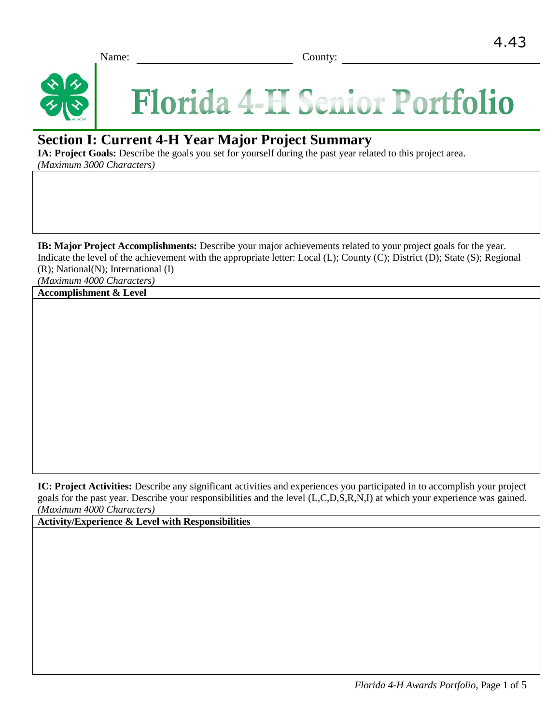**Florida 4-H Senior Portfolio** 

## **Section I: Current 4-H Year Major Project Summary**

**IA: Project Goals:** Describe the goals you set for yourself during the past year related to this project area. *(Maximum 3000 Characters)*

**IB: Major Project Accomplishments:** Describe your major achievements related to your project goals for the year. Indicate the level of the achievement with the appropriate letter: Local (L); County (C); District (D); State (S); Regional (R); National(N); International (I)

*(Maximum 4000 Characters)*

**Accomplishment & Level** 

**IC: Project Activities:** Describe any significant activities and experiences you participated in to accomplish your project goals for the past year. Describe your responsibilities and the level (L,C,D,S,R,N,I) at which your experience was gained. *(Maximum 4000 Characters)*

**Activity/Experience & Level with Responsibilities**

*Florida 4-H Awards Portfolio*, Page 1 of 5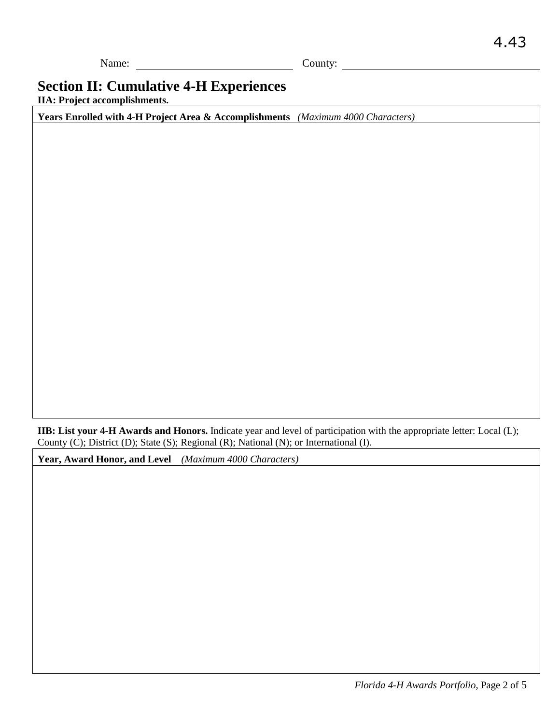## **Section II: Cumulative 4-H Experiences**

**IIA: Project accomplishments.**

**Years Enrolled with 4-H Project Area & Accomplishments** *(Maximum 4000 Characters)*

**IIB: List your 4-H Awards and Honors.** Indicate year and level of participation with the appropriate letter: Local (L); County (C); District (D); State (S); Regional (R); National (N); or International (I).

**Year, Award Honor, and Level** *(Maximum 4000 Characters)*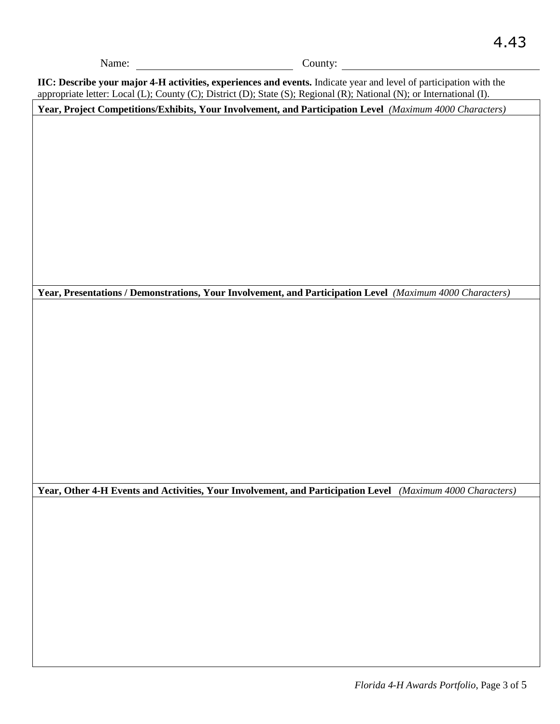**IIC: Describe your major 4-H activities, experiences and events.** Indicate year and level of participation with the appropriate letter: Local (L); County (C); District (D); State (S); Regional (R); National (N); or International (I).

**Year, Project Competitions/Exhibits, Your Involvement, and Participation Level** *(Maximum 4000 Characters)*

**Year, Presentations / Demonstrations, Your Involvement, and Participation Level** *(Maximum 4000 Characters)*

**Year, Other 4-H Events and Activities, Your Involvement, and Participation Level** *(Maximum 4000 Characters)*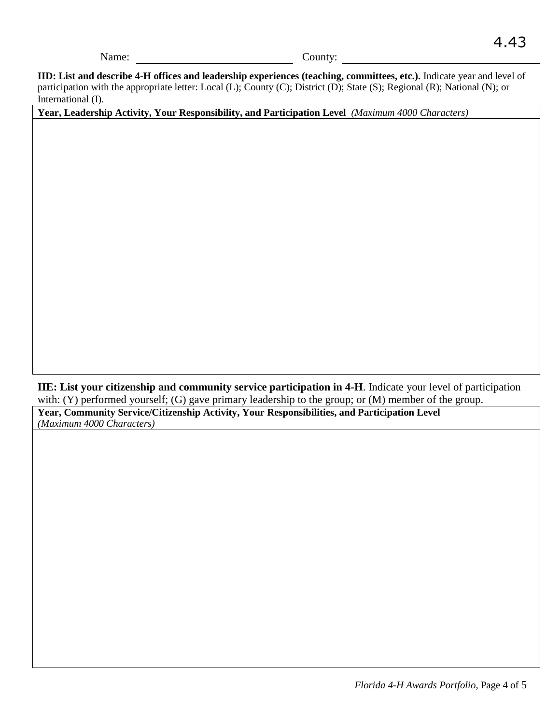**IID: List and describe 4-H offices and leadership experiences (teaching, committees, etc.).** Indicate year and level of participation with the appropriate letter: Local (L); County (C); District (D); State (S); Regional (R); National (N); or International (I).

**Year, Leadership Activity, Your Responsibility, and Participation Level** *(Maximum 4000 Characters)*

**IIE: List your citizenship and community service participation in 4-H**. Indicate your level of participation with: (Y) performed yourself; (G) gave primary leadership to the group; or (M) member of the group.

**Year, Community Service/Citizenship Activity, Your Responsibilities, and Participation Level**  *(Maximum 4000 Characters)*